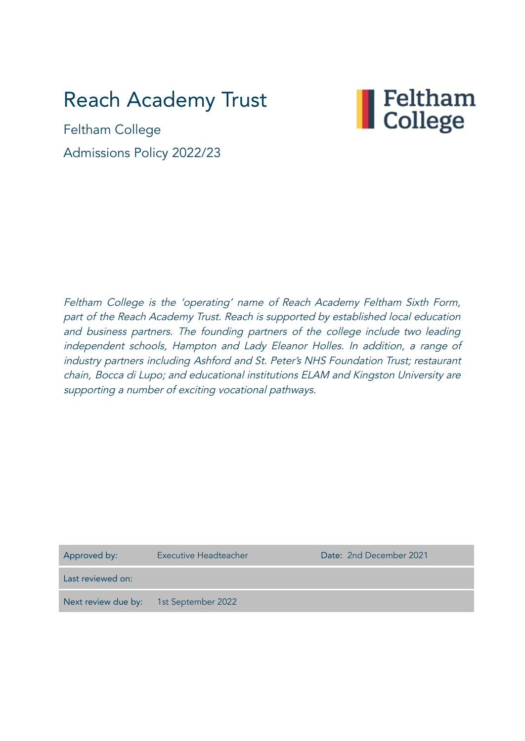# Reach Academy Trust



Feltham College Admissions Policy 2022/23

Feltham College is the 'operating' name of Reach Academy Feltham Sixth Form, part of the Reach Academy Trust. Reach is supported by established local education and business partners. The founding partners of the college include two leading independent schools, Hampton and Lady Eleanor Holles. In addition, <sup>a</sup> range of industry partners including Ashford and St. Peter's NHS Foundation Trust; restaurant chain, Bocca di Lupo; and educational institutions ELAM and Kingston University are supporting <sup>a</sup> number of exciting vocational pathways.

| Approved by:                           | Executive Headteacher | Date: 2nd December 2021 |
|----------------------------------------|-----------------------|-------------------------|
| Last reviewed on:                      |                       |                         |
| Next review due by: 1st September 2022 |                       |                         |
|                                        |                       |                         |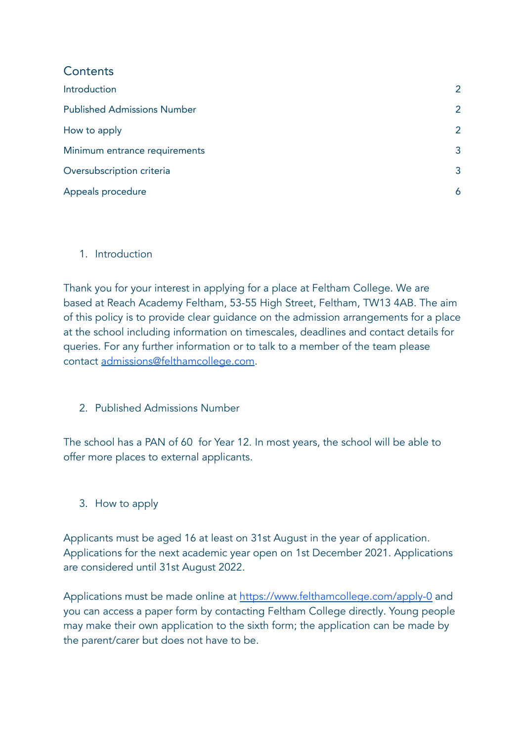| Contents                           |   |
|------------------------------------|---|
| Introduction                       | 2 |
| <b>Published Admissions Number</b> | 2 |
| How to apply                       | 2 |
| Minimum entrance requirements      |   |
| Oversubscription criteria          |   |
| Appeals procedure                  |   |

# <span id="page-1-0"></span>1. Introduction

Thank you for your interest in applying for a place at Feltham College. We are based at Reach Academy Feltham, 53-55 High Street, Feltham, TW13 4AB. The aim of this policy is to provide clear guidance on the admission arrangements for a place at the school including information on timescales, deadlines and contact details for queries. For any further information or to talk to a member of the team please contact [admissions@felthamcollege.com](mailto:admissions@felthamcollege.com).

<span id="page-1-1"></span>2. Published Admissions Number

The school has a PAN of 60 for Year 12. In most years, the school will be able to offer more places to external applicants.

<span id="page-1-2"></span>3. How to apply

Applicants must be aged 16 at least on 31st August in the year of application. Applications for the next academic year open on 1st December 2021. Applications are considered until 31st August 2022.

Applications must be made online at <https://www.felthamcollege.com/apply-0> and you can access a paper form by contacting Feltham College directly. Young people may make their own application to the sixth form; the application can be made by the parent/carer but does not have to be.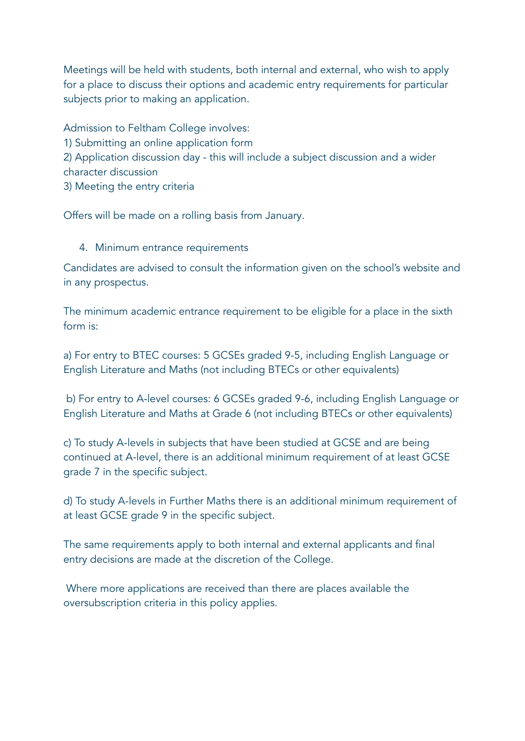Meetings will be held with students, both internal and external, who wish to apply for a place to discuss their options and academic entry requirements for particular subjects prior to making an application.

Admission to Feltham College involves: 1) Submitting an online application form 2) Application discussion day - this will include a subject discussion and a wider character discussion 3) Meeting the entry criteria

<span id="page-2-0"></span>Offers will be made on a rolling basis from January.

### 4. Minimum entrance requirements

Candidates are advised to consult the information given on the school's website and in any prospectus.

The minimum academic entrance requirement to be eligible for a place in the sixth form is:

a) For entry to BTEC courses: 5 GCSEs graded 9-5, including English Language or English Literature and Maths (not including BTECs or other equivalents)

b) For entry to A-level courses: 6 GCSEs graded 9-6, including English Language or English Literature and Maths at Grade 6 (not including BTECs or other equivalents)

c) To study A-levels in subjects that have been studied at GCSE and are being continued at A-level, there is an additional minimum requirement of at least GCSE grade 7 in the specific subject.

d) To study A-levels in Further Maths there is an additional minimum requirement of at least GCSE grade 9 in the specific subject.

The same requirements apply to both internal and external applicants and final entry decisions are made at the discretion of the College.

Where more applications are received than there are places available the oversubscription criteria in this policy applies.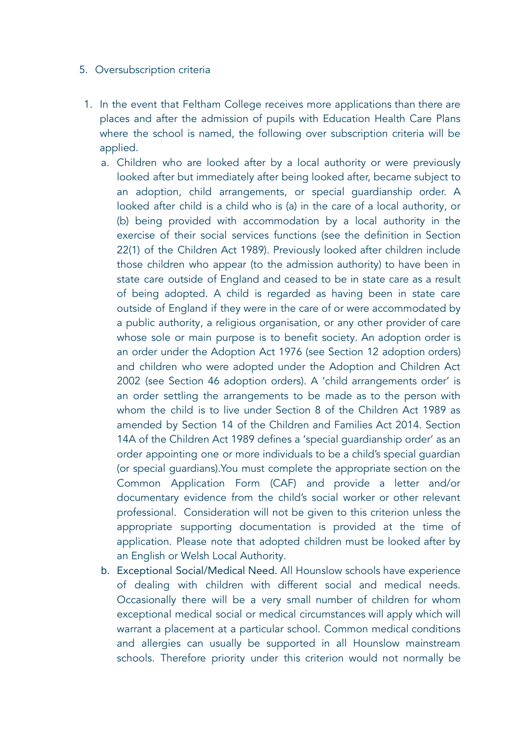#### <span id="page-3-0"></span>5. Oversubscription criteria

- 1. In the event that Feltham College receives more applications than there are places and after the admission of pupils with Education Health Care Plans where the school is named, the following over subscription criteria will be applied.
	- a. Children who are looked after by a local authority or were previously looked after but immediately after being looked after, became subject to an adoption, child arrangements, or special guardianship order. A looked after child is a child who is (a) in the care of a local authority, or (b) being provided with accommodation by a local authority in the exercise of their social services functions (see the definition in Section 22(1) of the Children Act 1989). Previously looked after children include those children who appear (to the admission authority) to have been in state care outside of England and ceased to be in state care as a result of being adopted. A child is regarded as having been in state care outside of England if they were in the care of or were accommodated by a public authority, a religious organisation, or any other provider of care whose sole or main purpose is to benefit society. An adoption order is an order under the Adoption Act 1976 (see Section 12 adoption orders) and children who were adopted under the Adoption and Children Act 2002 (see Section 46 adoption orders). A 'child arrangements order' is an order settling the arrangements to be made as to the person with whom the child is to live under Section 8 of the Children Act 1989 as amended by Section 14 of the Children and Families Act 2014. Section 14A of the Children Act 1989 defines a 'special guardianship order' as an order appointing one or more individuals to be a child's special guardian (or special guardians).You must complete the appropriate section on the Common Application Form (CAF) and provide a letter and/or documentary evidence from the child's social worker or other relevant professional. Consideration will not be given to this criterion unless the appropriate supporting documentation is provided at the time of application. Please note that adopted children must be looked after by an English or Welsh Local Authority.
	- b. Exceptional Social/Medical Need. All Hounslow schools have experience of dealing with children with different social and medical needs. Occasionally there will be a very small number of children for whom exceptional medical social or medical circumstances will apply which will warrant a placement at a particular school. Common medical conditions and allergies can usually be supported in all Hounslow mainstream schools. Therefore priority under this criterion would not normally be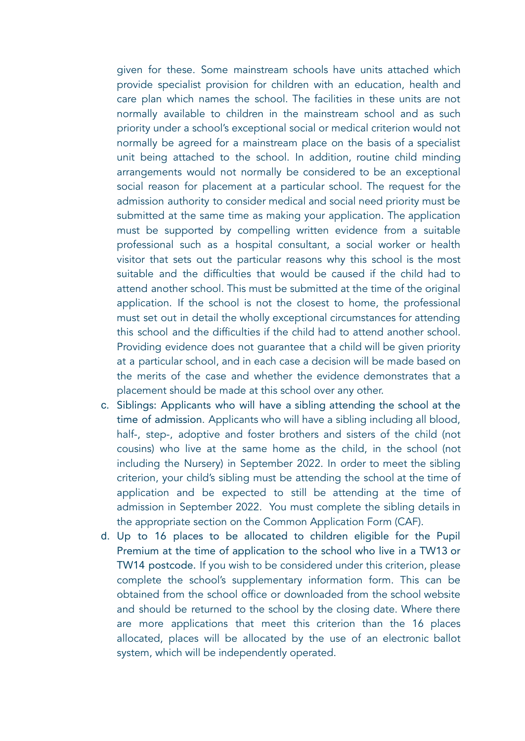given for these. Some mainstream schools have units attached which provide specialist provision for children with an education, health and care plan which names the school. The facilities in these units are not normally available to children in the mainstream school and as such priority under a school's exceptional social or medical criterion would not normally be agreed for a mainstream place on the basis of a specialist unit being attached to the school. In addition, routine child minding arrangements would not normally be considered to be an exceptional social reason for placement at a particular school. The request for the admission authority to consider medical and social need priority must be submitted at the same time as making your application. The application must be supported by compelling written evidence from a suitable professional such as a hospital consultant, a social worker or health visitor that sets out the particular reasons why this school is the most suitable and the difficulties that would be caused if the child had to attend another school. This must be submitted at the time of the original application. If the school is not the closest to home, the professional must set out in detail the wholly exceptional circumstances for attending this school and the difficulties if the child had to attend another school. Providing evidence does not guarantee that a child will be given priority at a particular school, and in each case a decision will be made based on the merits of the case and whether the evidence demonstrates that a placement should be made at this school over any other.

- c. Siblings: Applicants who will have a sibling attending the school at the time of admission. Applicants who will have a sibling including all blood, half-, step-, adoptive and foster brothers and sisters of the child (not cousins) who live at the same home as the child, in the school (not including the Nursery) in September 2022. In order to meet the sibling criterion, your child's sibling must be attending the school at the time of application and be expected to still be attending at the time of admission in September 2022. You must complete the sibling details in the appropriate section on the Common Application Form (CAF).
- d. Up to 16 places to be allocated to children eligible for the Pupil Premium at the time of application to the school who live in a TW13 or TW14 postcode. If you wish to be considered under this criterion, please complete the school's supplementary information form. This can be obtained from the school office or downloaded from the school website and should be returned to the school by the closing date. Where there are more applications that meet this criterion than the 16 places allocated, places will be allocated by the use of an electronic ballot system, which will be independently operated.